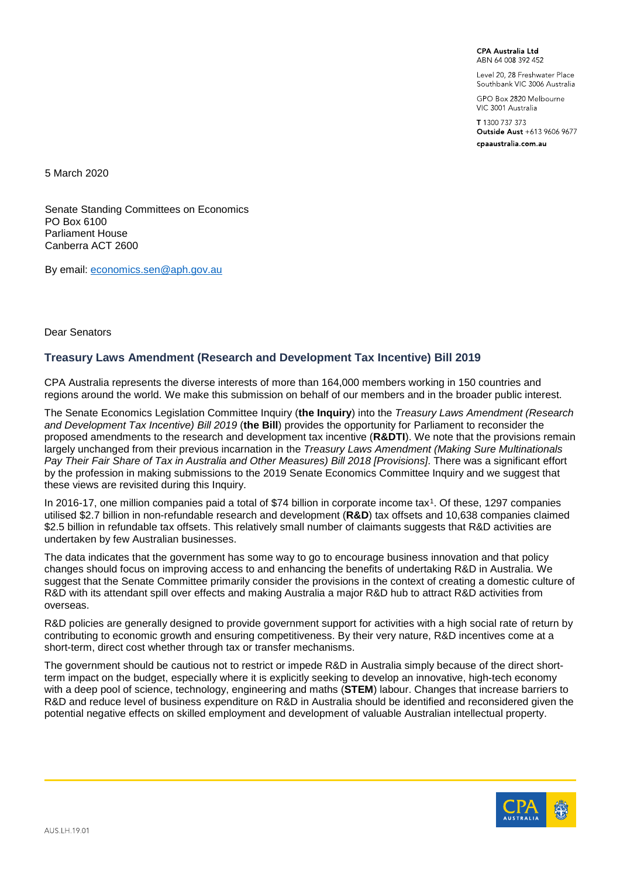**CPA Australia Ltd** ARN 64 008 392 452

Level 20, 28 Freshwater Place Southbank VIC 3006 Australia

GPO Box 2820 Melbourne VIC 3001 Australia

T 1300 737 373 Outside Aust +613 9606 9677 cpaaustralia.com.au

5 March 2020

Senate Standing Committees on Economics PO Box 6100 Parliament House Canberra ACT 2600

By email: [economics.sen@aph.gov.au](mailto:economics.sen@aph.gov.au)

Dear Senators

## **Treasury Laws Amendment (Research and Development Tax Incentive) Bill 2019**

CPA Australia represents the diverse interests of more than 164,000 members working in 150 countries and regions around the world. We make this submission on behalf of our members and in the broader public interest.

The Senate Economics Legislation Committee Inquiry (**the Inquiry**) into the *Treasury Laws Amendment (Research and Development Tax Incentive) Bill 2019* (**the Bill**) provides the opportunity for Parliament to reconsider the proposed amendments to the research and development tax incentive (**R&DTI**). We note that the provisions remain largely unchanged from their previous incarnation in the *Treasury Laws Amendment (Making Sure Multinationals Pay Their Fair Share of Tax in Australia and Other Measures) Bill 2018 [Provisions]*. There was a significant effort by the profession in making submissions to the 2019 Senate Economics Committee Inquiry and we suggest that these views are revisited during this Inquiry.

In 2016-17, one million companies paid a total of \$74 billion in corporate income tax[1](#page-13-0). Of these, 1297 companies utilised \$2.7 billion in non-refundable research and development (**R&D**) tax offsets and 10,638 companies claimed \$2.5 billion in refundable tax offsets. This relatively small number of claimants suggests that R&D activities are undertaken by few Australian businesses.

The data indicates that the government has some way to go to encourage business innovation and that policy changes should focus on improving access to and enhancing the benefits of undertaking R&D in Australia. We suggest that the Senate Committee primarily consider the provisions in the context of creating a domestic culture of R&D with its attendant spill over effects and making Australia a major R&D hub to attract R&D activities from overseas.

R&D policies are generally designed to provide government support for activities with a high social rate of return by contributing to economic growth and ensuring competitiveness. By their very nature, R&D incentives come at a short-term, direct cost whether through tax or transfer mechanisms.

The government should be cautious not to restrict or impede R&D in Australia simply because of the direct shortterm impact on the budget, especially where it is explicitly seeking to develop an innovative, high-tech economy with a deep pool of science, technology, engineering and maths (**STEM**) labour. Changes that increase barriers to R&D and reduce level of business expenditure on R&D in Australia should be identified and reconsidered given the potential negative effects on skilled employment and development of valuable Australian intellectual property.

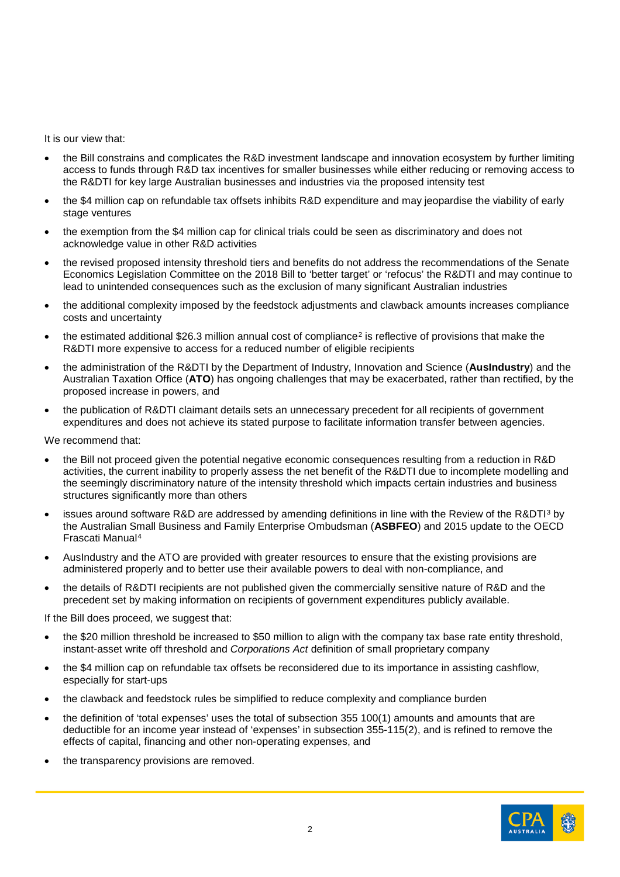It is our view that:

- the Bill constrains and complicates the R&D investment landscape and innovation ecosystem by further limiting access to funds through R&D tax incentives for smaller businesses while either reducing or removing access to the R&DTI for key large Australian businesses and industries via the proposed intensity test
- the \$4 million cap on refundable tax offsets inhibits R&D expenditure and may jeopardise the viability of early stage ventures
- the exemption from the \$4 million cap for clinical trials could be seen as discriminatory and does not acknowledge value in other R&D activities
- the revised proposed intensity threshold tiers and benefits do not address the recommendations of the Senate Economics Legislation Committee on the 2018 Bill to 'better target' or 'refocus' the R&DTI and may continue to lead to unintended consequences such as the exclusion of many significant Australian industries
- the additional complexity imposed by the feedstock adjustments and clawback amounts increases compliance costs and uncertainty
- the estimated additional \$[2](#page-13-1)6.3 million annual cost of compliance<sup>2</sup> is reflective of provisions that make the R&DTI more expensive to access for a reduced number of eligible recipients
- the administration of the R&DTI by the Department of Industry, Innovation and Science (**AusIndustry**) and the Australian Taxation Office (**ATO**) has ongoing challenges that may be exacerbated, rather than rectified, by the proposed increase in powers, and
- the publication of R&DTI claimant details sets an unnecessary precedent for all recipients of government expenditures and does not achieve its stated purpose to facilitate information transfer between agencies.

We recommend that:

- the Bill not proceed given the potential negative economic consequences resulting from a reduction in R&D activities, the current inability to properly assess the net benefit of the R&DTI due to incomplete modelling and the seemingly discriminatory nature of the intensity threshold which impacts certain industries and business structures significantly more than others
- issues around software R&D are addressed by amending definitions in line with the Review of the R&DTI[3](#page-13-2) by the Australian Small Business and Family Enterprise Ombudsman (**ASBFEO**) and 2015 update to the OECD Frascati Manual[4](#page-13-3)
- AusIndustry and the ATO are provided with greater resources to ensure that the existing provisions are administered properly and to better use their available powers to deal with non-compliance, and
- the details of R&DTI recipients are not published given the commercially sensitive nature of R&D and the precedent set by making information on recipients of government expenditures publicly available.

If the Bill does proceed, we suggest that:

- the \$20 million threshold be increased to \$50 million to align with the company tax base rate entity threshold, instant-asset write off threshold and *Corporations Act* definition of small proprietary company
- the \$4 million cap on refundable tax offsets be reconsidered due to its importance in assisting cashflow, especially for start-ups
- the clawback and feedstock rules be simplified to reduce complexity and compliance burden
- the definition of 'total expenses' uses the total of subsection 355 100(1) amounts and amounts that are deductible for an income year instead of 'expenses' in subsection 355-115(2), and is refined to remove the effects of capital, financing and other non-operating expenses, and
- the transparency provisions are removed.

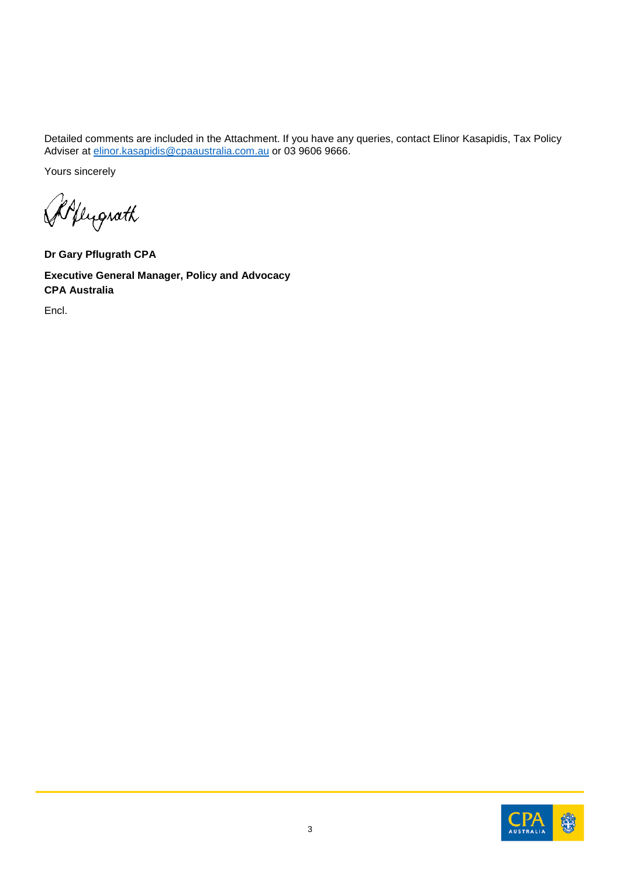Detailed comments are included in the Attachment. If you have any queries, contact Elinor Kasapidis, Tax Policy Adviser at <u>elinor.kasapidis@cpaaustralia.com.au</u> or 03 9606 9666.

Yours sincerely

Allugrath

**Dr Gary Pflugrath CPA**

**Executive General Manager, Policy and Advocacy CPA Australia**

Encl.

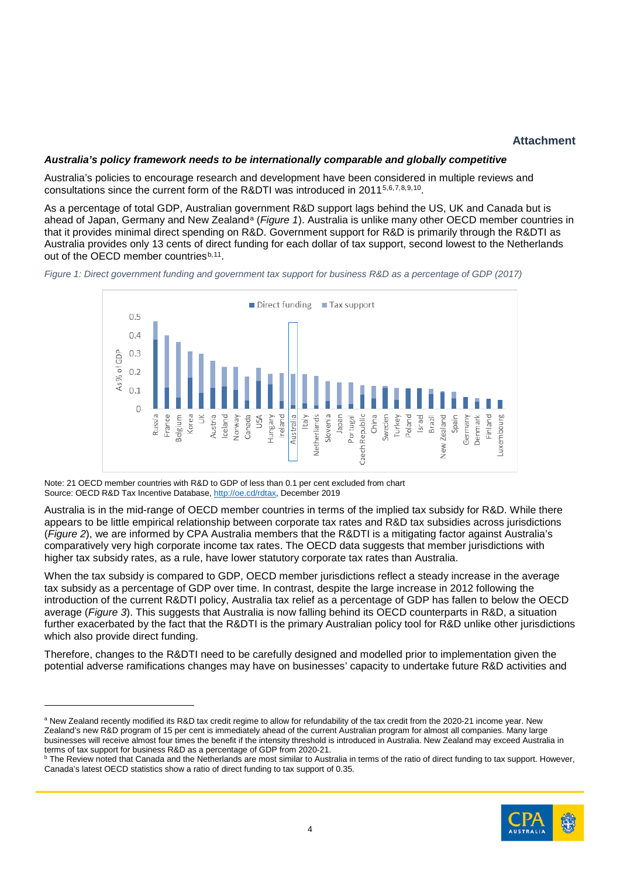# **Attachment**

### *Australia's policy framework needs to be internationally comparable and globally competitive*

Australia's policies to encourage research and development have been considered in multiple reviews and consultations since the current form of the R&DTI was introduced in 2011[5,](#page-13-4)[6,](#page-13-5)[7,](#page-13-6)[8,](#page-13-7)[9](#page-13-8),[10](#page-13-9).

As a percentage of total GDP, Australian government R&D support lags behind the US, UK and Canada but is [a](#page-3-1)head of Japan, Germany and New Zealand<sup>a</sup> (*[Figure 1](#page-3-0)*). Australia is unlike many other OECD member countries in that it provides minimal direct spending on R&D. Government support for R&D is primarily through the R&DTI as Australia provides only 13 cents of direct funding for each dollar of tax support, second lowest to the Netherlands out of the OECD member countries<sup>[b,](#page-3-2)[11](#page-13-10)</sup>.

<span id="page-3-0"></span>



Note: 21 OECD member countries with R&D to GDP of less than 0.1 per cent excluded from chart Source: OECD R&D Tax Incentive Database[, http://oe.cd/rdtax,](http://oe.cd/rdtax) December 2019

-

Australia is in the mid-range of OECD member countries in terms of the implied tax subsidy for R&D. While there appears to be little empirical relationship between corporate tax rates and R&D tax subsidies across jurisdictions (*[Figure 2](#page-4-0)*), we are informed by CPA Australia members that the R&DTI is a mitigating factor against Australia's comparatively very high corporate income tax rates. The OECD data suggests that member jurisdictions with higher tax subsidy rates, as a rule, have lower statutory corporate tax rates than Australia.

When the tax subsidy is compared to GDP, OECD member jurisdictions reflect a steady increase in the average tax subsidy as a percentage of GDP over time. In contrast, despite the large increase in 2012 following the introduction of the current R&DTI policy, Australia tax relief as a percentage of GDP has fallen to below the OECD average (*[Figure 3](#page-4-1)*). This suggests that Australia is now falling behind its OECD counterparts in R&D, a situation further exacerbated by the fact that the R&DTI is the primary Australian policy tool for R&D unlike other jurisdictions which also provide direct funding.

Therefore, changes to the R&DTI need to be carefully designed and modelled prior to implementation given the potential adverse ramifications changes may have on businesses' capacity to undertake future R&D activities and

<span id="page-3-2"></span> $^{\rm b}$  The Review noted that Canada and the Netherlands are most similar to Australia in terms of the ratio of direct funding to tax support. However, Canada's latest OECD statistics show a ratio of direct funding to tax support of 0.35.



<span id="page-3-1"></span>a New Zealand recently modified its R&D tax credit regime to allow for refundability of the tax credit from the 2020-21 income year. New Zealand's new R&D program of 15 per cent is immediately ahead of the current Australian program for almost all companies. Many large businesses will receive almost four times the benefit if the intensity threshold is introduced in Australia. New Zealand may exceed Australia in terms of tax support for business R&D as a percentage of GDP from 2020-21.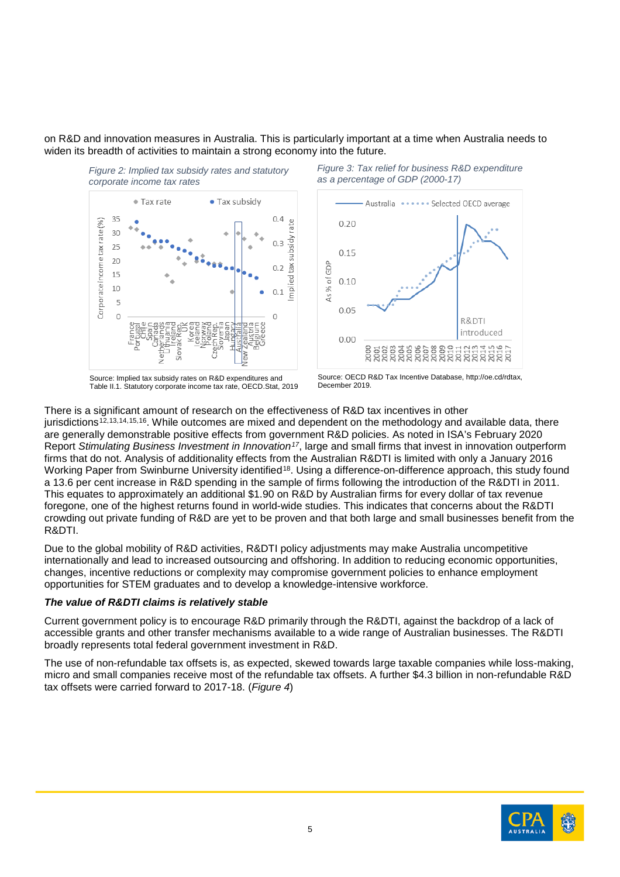on R&D and innovation measures in Australia. This is particularly important at a time when Australia needs to widen its breadth of activities to maintain a strong economy into the future.

<span id="page-4-0"></span>

Source: Implied tax subsidy rates on R&D expenditures and Table II.1. Statutory corporate income tax rate, OECD.Stat, 2019

<span id="page-4-1"></span>*Figure 3: Tax relief for business R&D expenditure as a percentage of GDP (2000-17)*



Source: OECD R&D Tax Incentive Database, http://oe.cd/rdtax, December 2019.

There is a significant amount of research on the effectiveness of R&D tax incentives in other jurisdictions<sup>[12,](#page-13-11)[13](#page-13-12),[14,](#page-13-13)[15](#page-13-14),16</sup>. While outcomes are mixed and dependent on the methodology and available data, there are generally demonstrable positive effects from government R&D policies. As noted in ISA's February 2020 Report *Stimulating Business Investment in Innovation[17](#page-13-16)*, large and small firms that invest in innovation outperform firms that do not. Analysis of additionality effects from the Australian R&DTI is limited with only a January 2016 Working Paper from Swinburne University identified<sup>18</sup>. Using a difference-on-difference approach, this study found a 13.6 per cent increase in R&D spending in the sample of firms following the introduction of the R&DTI in 2011. This equates to approximately an additional \$1.90 on R&D by Australian firms for every dollar of tax revenue foregone, one of the highest returns found in world-wide studies. This indicates that concerns about the R&DTI crowding out private funding of R&D are yet to be proven and that both large and small businesses benefit from the R&DTI.

Due to the global mobility of R&D activities, R&DTI policy adjustments may make Australia uncompetitive internationally and lead to increased outsourcing and offshoring. In addition to reducing economic opportunities, changes, incentive reductions or complexity may compromise government policies to enhance employment opportunities for STEM graduates and to develop a knowledge-intensive workforce.

### *The value of R&DTI claims is relatively stable*

Current government policy is to encourage R&D primarily through the R&DTI, against the backdrop of a lack of accessible grants and other transfer mechanisms available to a wide range of Australian businesses. The R&DTI broadly represents total federal government investment in R&D.

The use of non-refundable tax offsets is, as expected, skewed towards large taxable companies while loss-making, micro and small companies receive most of the refundable tax offsets. A further \$4.3 billion in non-refundable R&D tax offsets were carried forward to 2017-18. (*[Figure 4](#page-5-0)*)

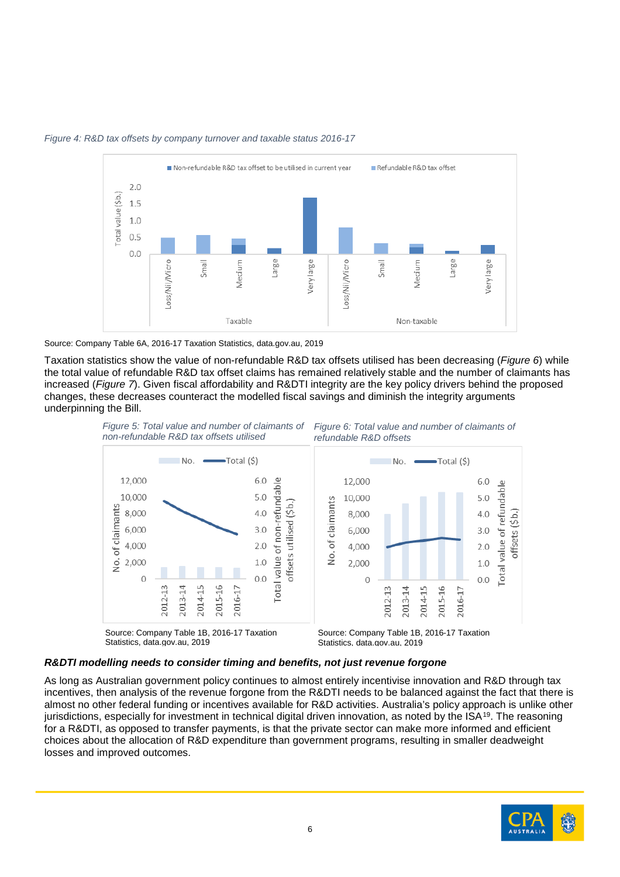

#### <span id="page-5-0"></span>*Figure 4: R&D tax offsets by company turnover and taxable status 2016-17*

Source: Company Table 6A, 2016-17 Taxation Statistics, data.gov.au, 2019

Taxation statistics show the value of non-refundable R&D tax offsets utilised has been decreasing (*[Figure 6](#page-5-1)*) while the total value of refundable R&D tax offset claims has remained relatively stable and the number of claimants has increased (*[Figure 7](#page-5-2)*). Given fiscal affordability and R&DTI integrity are the key policy drivers behind the proposed changes, these decreases counteract the modelled fiscal savings and diminish the integrity arguments underpinning the Bill.

<span id="page-5-2"></span><span id="page-5-1"></span>

# *R&DTI modelling needs to consider timing and benefits, not just revenue forgone*

As long as Australian government policy continues to almost entirely incentivise innovation and R&D through tax incentives, then analysis of the revenue forgone from the R&DTI needs to be balanced against the fact that there is almost no other federal funding or incentives available for R&D activities. Australia's policy approach is unlike other jurisdictions, especially for investment in technical digital driven innovation, as noted by the  $ISA^{19}$ . The reasoning for a R&DTI, as opposed to transfer payments, is that the private sector can make more informed and efficient choices about the allocation of R&D expenditure than government programs, resulting in smaller deadweight losses and improved outcomes.

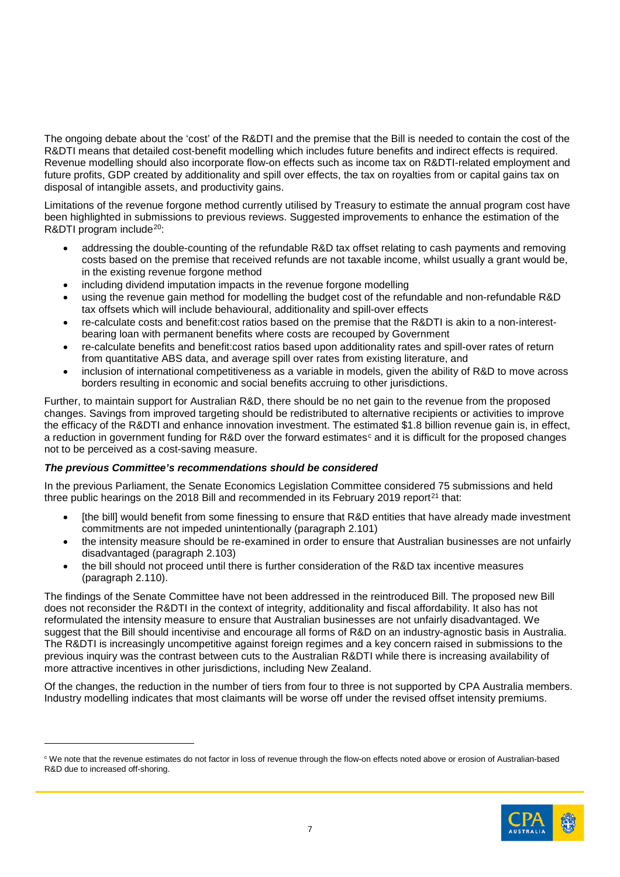The ongoing debate about the 'cost' of the R&DTI and the premise that the Bill is needed to contain the cost of the R&DTI means that detailed cost-benefit modelling which includes future benefits and indirect effects is required. Revenue modelling should also incorporate flow-on effects such as income tax on R&DTI-related employment and future profits, GDP created by additionality and spill over effects, the tax on royalties from or capital gains tax on disposal of intangible assets, and productivity gains.

Limitations of the revenue forgone method currently utilised by Treasury to estimate the annual program cost have been highlighted in submissions to previous reviews. Suggested improvements to enhance the estimation of the R&DTI program include<sup>20</sup>:

- addressing the double-counting of the refundable R&D tax offset relating to cash payments and removing costs based on the premise that received refunds are not taxable income, whilst usually a grant would be, in the existing revenue forgone method
- including dividend imputation impacts in the revenue forgone modelling
- using the revenue gain method for modelling the budget cost of the refundable and non-refundable R&D tax offsets which will include behavioural, additionality and spill-over effects
- re-calculate costs and benefit:cost ratios based on the premise that the R&DTI is akin to a non-interestbearing loan with permanent benefits where costs are recouped by Government
- re-calculate benefits and benefit:cost ratios based upon additionality rates and spill-over rates of return from quantitative ABS data, and average spill over rates from existing literature, and
- inclusion of international competitiveness as a variable in models, given the ability of R&D to move across borders resulting in economic and social benefits accruing to other jurisdictions.

Further, to maintain support for Australian R&D, there should be no net gain to the revenue from the proposed changes. Savings from improved targeting should be redistributed to alternative recipients or activities to improve the efficacy of the R&DTI and enhance innovation investment. The estimated \$1.8 billion revenue gain is, in effect, a redu[c](#page-6-0)tion in government funding for R&D over the forward estimates $\epsilon$  and it is difficult for the proposed changes not to be perceived as a cost-saving measure.

### *The previous Committee's recommendations should be considered*

In the previous Parliament, the Senate Economics Legislation Committee considered 75 submissions and held three public hearings on the 2018 Bill and recommended in its February 2019 report $21$  that:

- [the bill] would benefit from some finessing to ensure that R&D entities that have already made investment commitments are not impeded unintentionally (paragraph 2.101)
- the intensity measure should be re-examined in order to ensure that Australian businesses are not unfairly disadvantaged (paragraph 2.103)
- the bill should not proceed until there is further consideration of the R&D tax incentive measures (paragraph 2.110).

The findings of the Senate Committee have not been addressed in the reintroduced Bill. The proposed new Bill does not reconsider the R&DTI in the context of integrity, additionality and fiscal affordability. It also has not reformulated the intensity measure to ensure that Australian businesses are not unfairly disadvantaged. We suggest that the Bill should incentivise and encourage all forms of R&D on an industry-agnostic basis in Australia. The R&DTI is increasingly uncompetitive against foreign regimes and a key concern raised in submissions to the previous inquiry was the contrast between cuts to the Australian R&DTI while there is increasing availability of more attractive incentives in other jurisdictions, including New Zealand.

Of the changes, the reduction in the number of tiers from four to three is not supported by CPA Australia members. Industry modelling indicates that most claimants will be worse off under the revised offset intensity premiums.

<span id="page-6-0"></span><sup>&</sup>lt;sup>c</sup> We note that the revenue estimates do not factor in loss of revenue through the flow-on effects noted above or erosion of Australian-based R&D due to increased off-shoring.

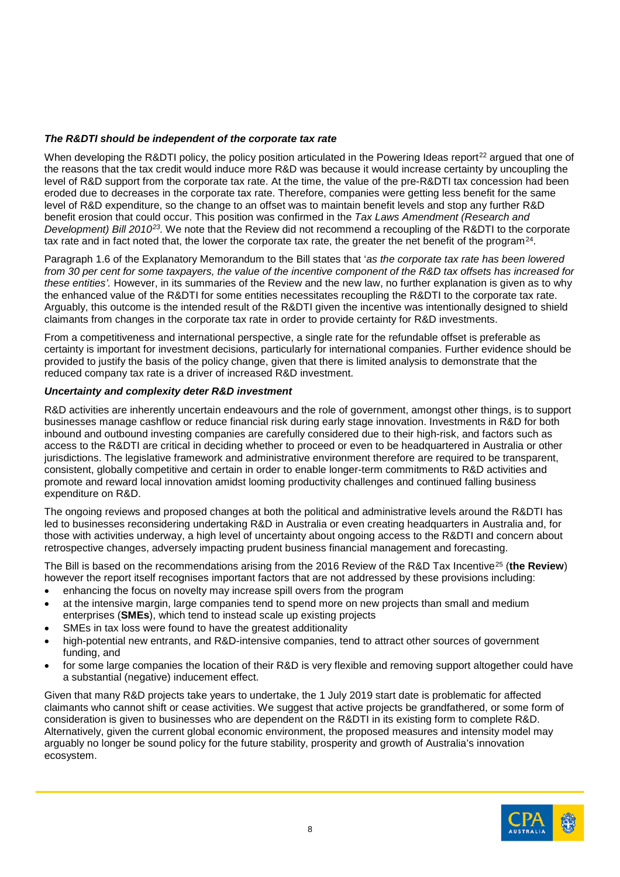### *The R&DTI should be independent of the corporate tax rate*

When developing the R&DTI policy, the policy position articulated in the Powering Ideas report<sup>[22](#page-13-21)</sup> argued that one of the reasons that the tax credit would induce more R&D was because it would increase certainty by uncoupling the level of R&D support from the corporate tax rate. At the time, the value of the pre-R&DTI tax concession had been eroded due to decreases in the corporate tax rate. Therefore, companies were getting less benefit for the same level of R&D expenditure, so the change to an offset was to maintain benefit levels and stop any further R&D benefit erosion that could occur. This position was confirmed in the *Tax Laws Amendment (Research and Development) Bill 2010[23.](#page-13-22)* We note that the Review did not recommend a recoupling of the R&DTI to the corporate tax rate and in fact noted that, the lower the corporate tax rate, the greater the net benefit of the program[24.](#page-13-23)

Paragraph 1.6 of the Explanatory Memorandum to the Bill states that '*as the corporate tax rate has been lowered from 30 per cent for some taxpayers, the value of the incentive component of the R&D tax offsets has increased for these entities'.* However, in its summaries of the Review and the new law, no further explanation is given as to why the enhanced value of the R&DTI for some entities necessitates recoupling the R&DTI to the corporate tax rate. Arguably, this outcome is the intended result of the R&DTI given the incentive was intentionally designed to shield claimants from changes in the corporate tax rate in order to provide certainty for R&D investments.

From a competitiveness and international perspective, a single rate for the refundable offset is preferable as certainty is important for investment decisions, particularly for international companies. Further evidence should be provided to justify the basis of the policy change, given that there is limited analysis to demonstrate that the reduced company tax rate is a driver of increased R&D investment.

## *Uncertainty and complexity deter R&D investment*

R&D activities are inherently uncertain endeavours and the role of government, amongst other things, is to support businesses manage cashflow or reduce financial risk during early stage innovation. Investments in R&D for both inbound and outbound investing companies are carefully considered due to their high-risk, and factors such as access to the R&DTI are critical in deciding whether to proceed or even to be headquartered in Australia or other jurisdictions. The legislative framework and administrative environment therefore are required to be transparent, consistent, globally competitive and certain in order to enable longer-term commitments to R&D activities and promote and reward local innovation amidst looming productivity challenges and continued falling business expenditure on R&D.

The ongoing reviews and proposed changes at both the political and administrative levels around the R&DTI has led to businesses reconsidering undertaking R&D in Australia or even creating headquarters in Australia and, for those with activities underway, a high level of uncertainty about ongoing access to the R&DTI and concern about retrospective changes, adversely impacting prudent business financial management and forecasting.

The Bill is based on the recommendations arising from the 2016 Review of the R&D Tax Incentive[25](#page-13-24) (**the Review**) however the report itself recognises important factors that are not addressed by these provisions including:

- enhancing the focus on novelty may increase spill overs from the program
- at the intensive margin, large companies tend to spend more on new projects than small and medium enterprises (**SMEs**), which tend to instead scale up existing projects
- SMEs in tax loss were found to have the greatest additionality
- high-potential new entrants, and R&D-intensive companies, tend to attract other sources of government funding, and
- for some large companies the location of their R&D is very flexible and removing support altogether could have a substantial (negative) inducement effect.

Given that many R&D projects take years to undertake, the 1 July 2019 start date is problematic for affected claimants who cannot shift or cease activities. We suggest that active projects be grandfathered, or some form of consideration is given to businesses who are dependent on the R&DTI in its existing form to complete R&D. Alternatively, given the current global economic environment, the proposed measures and intensity model may arguably no longer be sound policy for the future stability, prosperity and growth of Australia's innovation ecosystem.

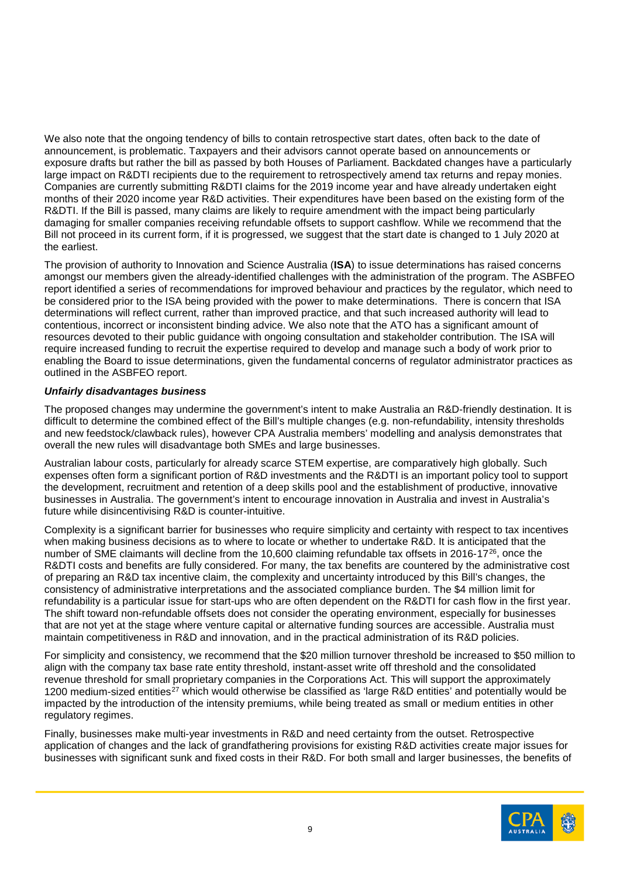We also note that the ongoing tendency of bills to contain retrospective start dates, often back to the date of announcement, is problematic. Taxpayers and their advisors cannot operate based on announcements or exposure drafts but rather the bill as passed by both Houses of Parliament. Backdated changes have a particularly large impact on R&DTI recipients due to the requirement to retrospectively amend tax returns and repay monies. Companies are currently submitting R&DTI claims for the 2019 income year and have already undertaken eight months of their 2020 income year R&D activities. Their expenditures have been based on the existing form of the R&DTI. If the Bill is passed, many claims are likely to require amendment with the impact being particularly damaging for smaller companies receiving refundable offsets to support cashflow. While we recommend that the Bill not proceed in its current form, if it is progressed, we suggest that the start date is changed to 1 July 2020 at the earliest.

The provision of authority to Innovation and Science Australia (**ISA**) to issue determinations has raised concerns amongst our members given the already-identified challenges with the administration of the program. The ASBFEO report identified a series of recommendations for improved behaviour and practices by the regulator, which need to be considered prior to the ISA being provided with the power to make determinations. There is concern that ISA determinations will reflect current, rather than improved practice, and that such increased authority will lead to contentious, incorrect or inconsistent binding advice. We also note that the ATO has a significant amount of resources devoted to their public guidance with ongoing consultation and stakeholder contribution. The ISA will require increased funding to recruit the expertise required to develop and manage such a body of work prior to enabling the Board to issue determinations, given the fundamental concerns of regulator administrator practices as outlined in the ASBFEO report.

## *Unfairly disadvantages business*

The proposed changes may undermine the government's intent to make Australia an R&D-friendly destination. It is difficult to determine the combined effect of the Bill's multiple changes (e.g. non-refundability, intensity thresholds and new feedstock/clawback rules), however CPA Australia members' modelling and analysis demonstrates that overall the new rules will disadvantage both SMEs and large businesses.

Australian labour costs, particularly for already scarce STEM expertise, are comparatively high globally. Such expenses often form a significant portion of R&D investments and the R&DTI is an important policy tool to support the development, recruitment and retention of a deep skills pool and the establishment of productive, innovative businesses in Australia. The government's intent to encourage innovation in Australia and invest in Australia's future while disincentivising R&D is counter-intuitive.

Complexity is a significant barrier for businesses who require simplicity and certainty with respect to tax incentives when making business decisions as to where to locate or whether to undertake R&D. It is anticipated that the number of SME claimants will decline from the 10,600 claiming refundable tax offsets in 2016-17<sup>26</sup>, once the R&DTI costs and benefits are fully considered. For many, the tax benefits are countered by the administrative cost of preparing an R&D tax incentive claim, the complexity and uncertainty introduced by this Bill's changes, the consistency of administrative interpretations and the associated compliance burden. The \$4 million limit for refundability is a particular issue for start-ups who are often dependent on the R&DTI for cash flow in the first year. The shift toward non-refundable offsets does not consider the operating environment, especially for businesses that are not yet at the stage where venture capital or alternative funding sources are accessible. Australia must maintain competitiveness in R&D and innovation, and in the practical administration of its R&D policies.

For simplicity and consistency, we recommend that the \$20 million turnover threshold be increased to \$50 million to align with the company tax base rate entity threshold, instant-asset write off threshold and the consolidated revenue threshold for small proprietary companies in the Corporations Act. This will support the approximately 1200 medium-sized entities<sup>[27](#page-13-26)</sup> which would otherwise be classified as 'large R&D entities' and potentially would be impacted by the introduction of the intensity premiums, while being treated as small or medium entities in other regulatory regimes.

Finally, businesses make multi-year investments in R&D and need certainty from the outset. Retrospective application of changes and the lack of grandfathering provisions for existing R&D activities create major issues for businesses with significant sunk and fixed costs in their R&D. For both small and larger businesses, the benefits of

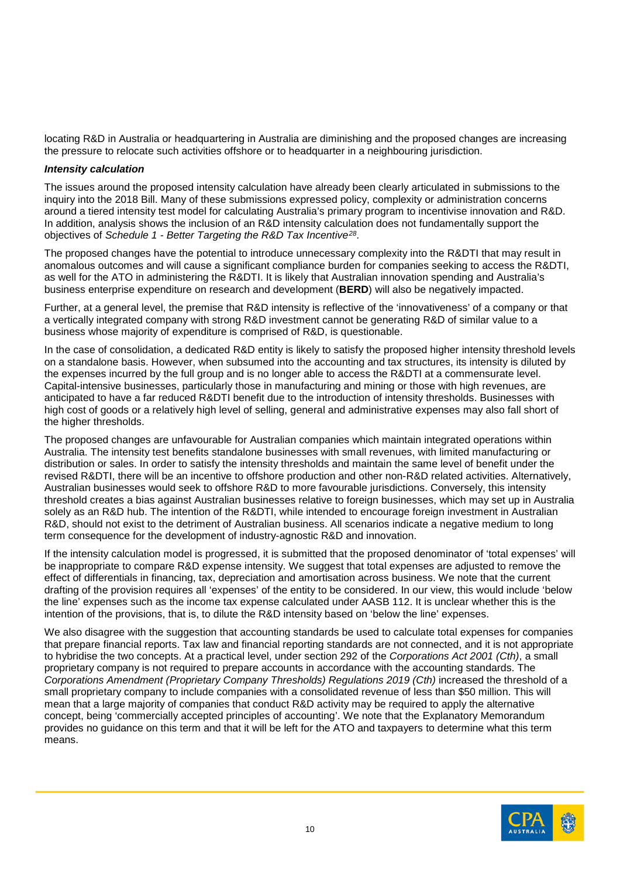locating R&D in Australia or headquartering in Australia are diminishing and the proposed changes are increasing the pressure to relocate such activities offshore or to headquarter in a neighbouring jurisdiction.

#### *Intensity calculation*

The issues around the proposed intensity calculation have already been clearly articulated in submissions to the inquiry into the 2018 Bill. Many of these submissions expressed policy, complexity or administration concerns around a tiered intensity test model for calculating Australia's primary program to incentivise innovation and R&D. In addition, analysis shows the inclusion of an R&D intensity calculation does not fundamentally support the objectives of *Schedule 1 - Better Targeting the R&D Tax Incentive[28](#page-13-27)*.

The proposed changes have the potential to introduce unnecessary complexity into the R&DTI that may result in anomalous outcomes and will cause a significant compliance burden for companies seeking to access the R&DTI, as well for the ATO in administering the R&DTI. It is likely that Australian innovation spending and Australia's business enterprise expenditure on research and development (**BERD**) will also be negatively impacted.

Further, at a general level, the premise that R&D intensity is reflective of the 'innovativeness' of a company or that a vertically integrated company with strong R&D investment cannot be generating R&D of similar value to a business whose majority of expenditure is comprised of R&D, is questionable.

In the case of consolidation, a dedicated R&D entity is likely to satisfy the proposed higher intensity threshold levels on a standalone basis. However, when subsumed into the accounting and tax structures, its intensity is diluted by the expenses incurred by the full group and is no longer able to access the R&DTI at a commensurate level. Capital-intensive businesses, particularly those in manufacturing and mining or those with high revenues, are anticipated to have a far reduced R&DTI benefit due to the introduction of intensity thresholds. Businesses with high cost of goods or a relatively high level of selling, general and administrative expenses may also fall short of the higher thresholds.

The proposed changes are unfavourable for Australian companies which maintain integrated operations within Australia. The intensity test benefits standalone businesses with small revenues, with limited manufacturing or distribution or sales. In order to satisfy the intensity thresholds and maintain the same level of benefit under the revised R&DTI, there will be an incentive to offshore production and other non-R&D related activities. Alternatively, Australian businesses would seek to offshore R&D to more favourable jurisdictions. Conversely, this intensity threshold creates a bias against Australian businesses relative to foreign businesses, which may set up in Australia solely as an R&D hub. The intention of the R&DTI, while intended to encourage foreign investment in Australian R&D, should not exist to the detriment of Australian business. All scenarios indicate a negative medium to long term consequence for the development of industry-agnostic R&D and innovation.

If the intensity calculation model is progressed, it is submitted that the proposed denominator of 'total expenses' will be inappropriate to compare R&D expense intensity. We suggest that total expenses are adjusted to remove the effect of differentials in financing, tax, depreciation and amortisation across business. We note that the current drafting of the provision requires all 'expenses' of the entity to be considered. In our view, this would include 'below the line' expenses such as the income tax expense calculated under AASB 112. It is unclear whether this is the intention of the provisions, that is, to dilute the R&D intensity based on 'below the line' expenses.

We also disagree with the suggestion that accounting standards be used to calculate total expenses for companies that prepare financial reports. Tax law and financial reporting standards are not connected, and it is not appropriate to hybridise the two concepts. At a practical level, under section 292 of the *Corporations Act 2001 (Cth)*, a small proprietary company is not required to prepare accounts in accordance with the accounting standards. The *Corporations Amendment (Proprietary Company Thresholds) Regulations 2019 (Cth)* increased the threshold of a small proprietary company to include companies with a consolidated revenue of less than \$50 million. This will mean that a large majority of companies that conduct R&D activity may be required to apply the alternative concept, being 'commercially accepted principles of accounting'. We note that the Explanatory Memorandum provides no guidance on this term and that it will be left for the ATO and taxpayers to determine what this term means.

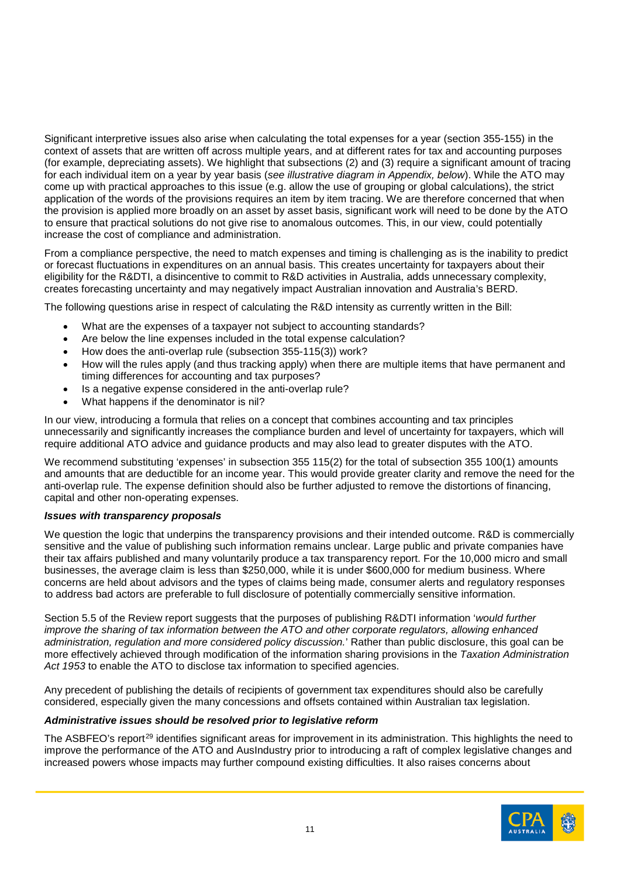Significant interpretive issues also arise when calculating the total expenses for a year (section 355-155) in the context of assets that are written off across multiple years, and at different rates for tax and accounting purposes (for example, depreciating assets). We highlight that subsections (2) and (3) require a significant amount of tracing for each individual item on a year by year basis (*see illustrative diagram in Appendix, below*). While the ATO may come up with practical approaches to this issue (e.g. allow the use of grouping or global calculations), the strict application of the words of the provisions requires an item by item tracing. We are therefore concerned that when the provision is applied more broadly on an asset by asset basis, significant work will need to be done by the ATO to ensure that practical solutions do not give rise to anomalous outcomes. This, in our view, could potentially increase the cost of compliance and administration.

From a compliance perspective, the need to match expenses and timing is challenging as is the inability to predict or forecast fluctuations in expenditures on an annual basis. This creates uncertainty for taxpayers about their eligibility for the R&DTI, a disincentive to commit to R&D activities in Australia, adds unnecessary complexity, creates forecasting uncertainty and may negatively impact Australian innovation and Australia's BERD.

The following questions arise in respect of calculating the R&D intensity as currently written in the Bill:

- What are the expenses of a taxpayer not subject to accounting standards?
- Are below the line expenses included in the total expense calculation?
- How does the anti-overlap rule (subsection 355-115(3)) work?
- How will the rules apply (and thus tracking apply) when there are multiple items that have permanent and timing differences for accounting and tax purposes?
- Is a negative expense considered in the anti-overlap rule?
- What happens if the denominator is nil?

In our view, introducing a formula that relies on a concept that combines accounting and tax principles unnecessarily and significantly increases the compliance burden and level of uncertainty for taxpayers, which will require additional ATO advice and guidance products and may also lead to greater disputes with the ATO.

We recommend substituting 'expenses' in subsection 355 115(2) for the total of subsection 355 100(1) amounts and amounts that are deductible for an income year. This would provide greater clarity and remove the need for the anti-overlap rule. The expense definition should also be further adjusted to remove the distortions of financing, capital and other non-operating expenses.

### *Issues with transparency proposals*

We question the logic that underpins the transparency provisions and their intended outcome. R&D is commercially sensitive and the value of publishing such information remains unclear. Large public and private companies have their tax affairs published and many voluntarily produce a tax transparency report. For the 10,000 micro and small businesses, the average claim is less than \$250,000, while it is under \$600,000 for medium business. Where concerns are held about advisors and the types of claims being made, consumer alerts and regulatory responses to address bad actors are preferable to full disclosure of potentially commercially sensitive information.

Section 5.5 of the Review report suggests that the purposes of publishing R&DTI information '*would further improve the sharing of tax information between the ATO and other corporate regulators, allowing enhanced administration, regulation and more considered policy discussion.*' Rather than public disclosure, this goal can be more effectively achieved through modification of the information sharing provisions in the *Taxation Administration Act 1953* to enable the ATO to disclose tax information to specified agencies.

Any precedent of publishing the details of recipients of government tax expenditures should also be carefully considered, especially given the many concessions and offsets contained within Australian tax legislation.

### *Administrative issues should be resolved prior to legislative reform*

The ASBFEO's report<sup>[29](#page-13-28)</sup> identifies significant areas for improvement in its administration. This highlights the need to improve the performance of the ATO and AusIndustry prior to introducing a raft of complex legislative changes and increased powers whose impacts may further compound existing difficulties. It also raises concerns about

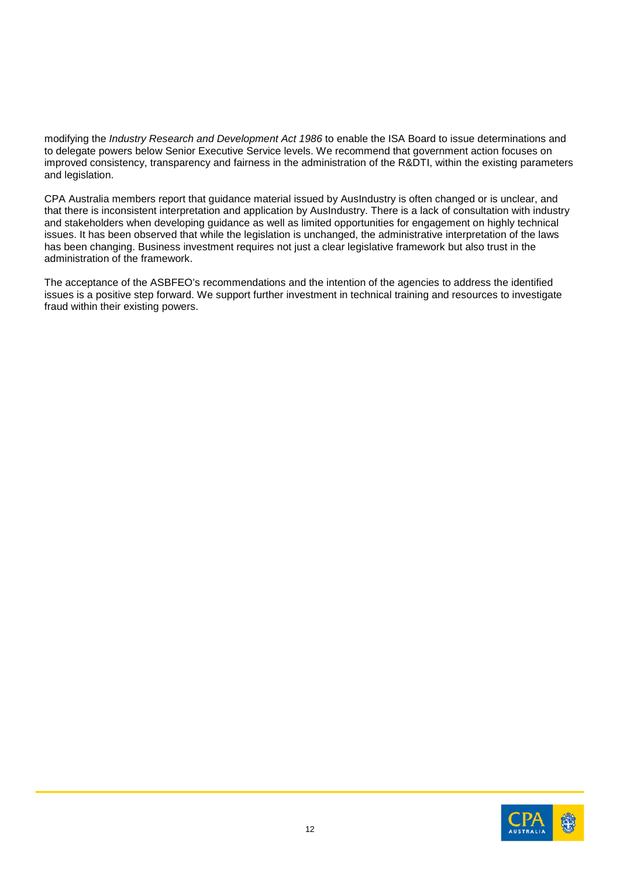modifying the *Industry Research and Development Act 1986* to enable the ISA Board to issue determinations and to delegate powers below Senior Executive Service levels. We recommend that government action focuses on improved consistency, transparency and fairness in the administration of the R&DTI, within the existing parameters and legislation.

CPA Australia members report that guidance material issued by AusIndustry is often changed or is unclear, and that there is inconsistent interpretation and application by AusIndustry. There is a lack of consultation with industry and stakeholders when developing guidance as well as limited opportunities for engagement on highly technical issues. It has been observed that while the legislation is unchanged, the administrative interpretation of the laws has been changing. Business investment requires not just a clear legislative framework but also trust in the administration of the framework.

The acceptance of the ASBFEO's recommendations and the intention of the agencies to address the identified issues is a positive step forward. We support further investment in technical training and resources to investigate fraud within their existing powers.

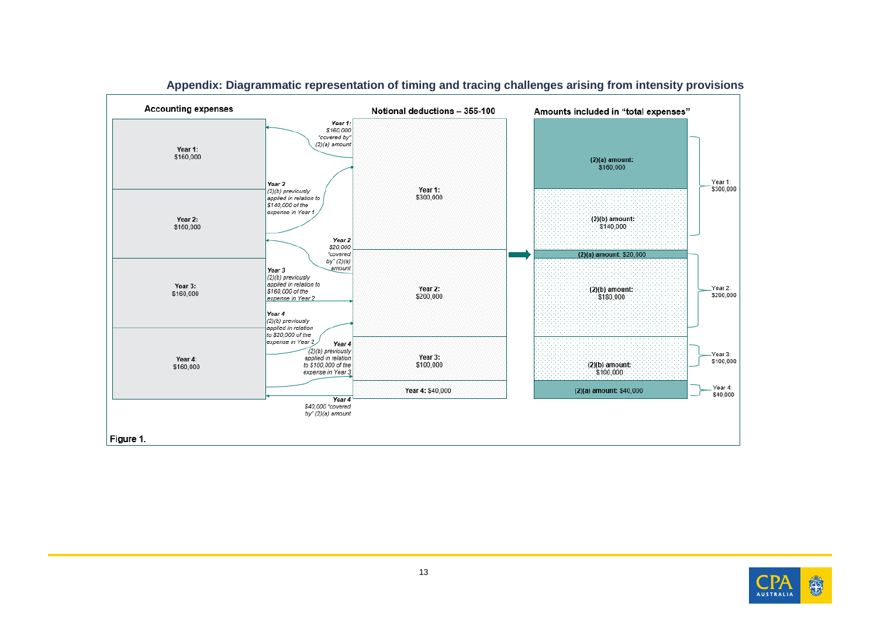

## **Appendix: Diagrammatic representation of timing and tracing challenges arising from intensity provisions**